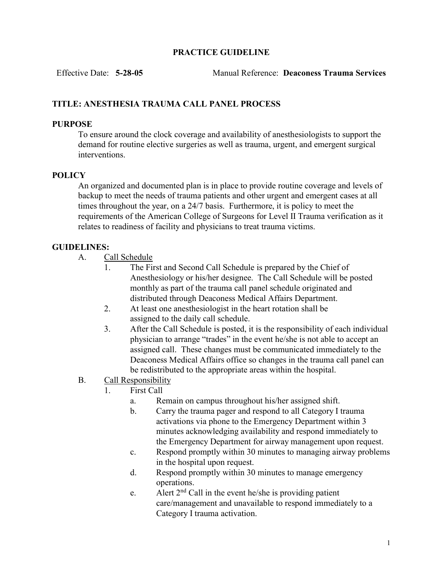### PRACTICE GUIDELINE

Effective Date: 5-28-05 Manual Reference: Deaconess Trauma Services

# TITLE: ANESTHESIA TRAUMA CALL PANEL PROCESS

### PURPOSE

To ensure around the clock coverage and availability of anesthesiologists to support the demand for routine elective surgeries as well as trauma, urgent, and emergent surgical interventions.

### **POLICY**

An organized and documented plan is in place to provide routine coverage and levels of backup to meet the needs of trauma patients and other urgent and emergent cases at all times throughout the year, on a 24/7 basis. Furthermore, it is policy to meet the requirements of the American College of Surgeons for Level II Trauma verification as it relates to readiness of facility and physicians to treat trauma victims.

## GUIDELINES:

A. Call Schedule

- 1. The First and Second Call Schedule is prepared by the Chief of Anesthesiology or his/her designee. The Call Schedule will be posted monthly as part of the trauma call panel schedule originated and distributed through Deaconess Medical Affairs Department.
- 2. At least one anesthesiologist in the heart rotation shall be assigned to the daily call schedule.
- 3. After the Call Schedule is posted, it is the responsibility of each individual physician to arrange "trades" in the event he/she is not able to accept an assigned call. These changes must be communicated immediately to the Deaconess Medical Affairs office so changes in the trauma call panel can be redistributed to the appropriate areas within the hospital.
- B. Call Responsibility
	- 1. First Call
		- a. Remain on campus throughout his/her assigned shift.
		- b. Carry the trauma pager and respond to all Category I trauma activations via phone to the Emergency Department within 3 minutes acknowledging availability and respond immediately to the Emergency Department for airway management upon request.
		- c. Respond promptly within 30 minutes to managing airway problems in the hospital upon request.
		- d. Respond promptly within 30 minutes to manage emergency operations.
		- e. Alert  $2<sup>nd</sup>$  Call in the event he/she is providing patient care/management and unavailable to respond immediately to a Category I trauma activation.